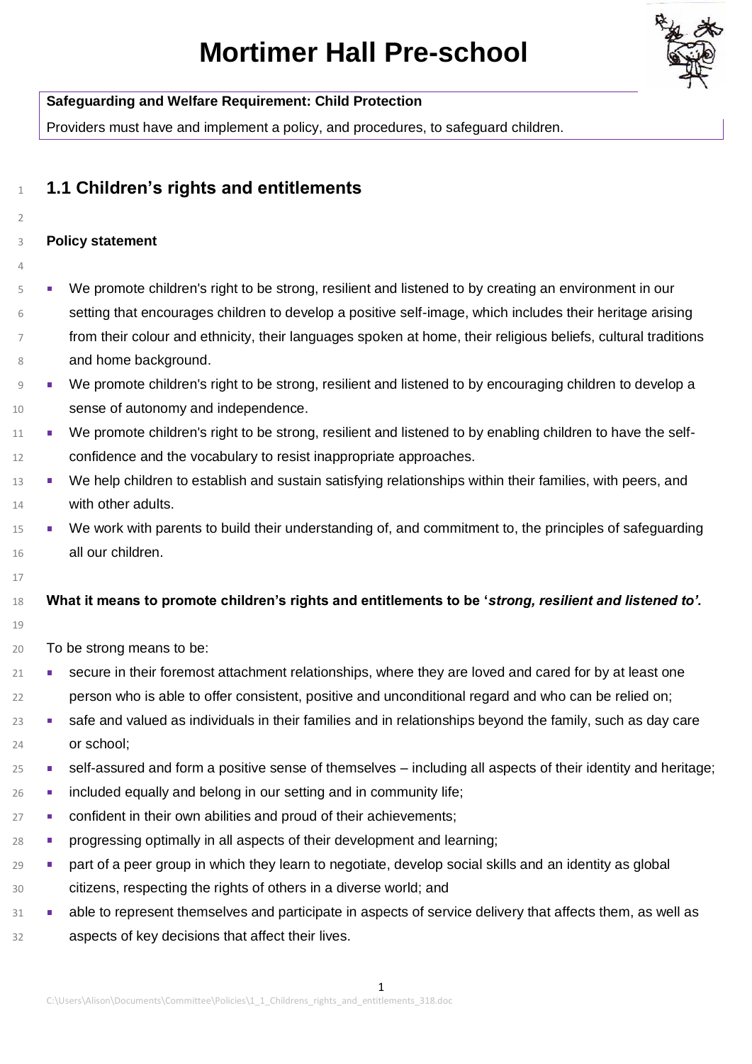

| <b>Mortimer Hall Pre-school</b>                                                                               |
|---------------------------------------------------------------------------------------------------------------|
| <b>Safeguarding and Welfare Requirement: Child Protection</b>                                                 |
| Providers must have and implement a policy, and procedures, to safeguard children.                            |
| 1.1 Children's rights and entitlements                                                                        |
| <b>Policy statement</b>                                                                                       |
| We promote children's right to be strong, resilient and listened to by creating an environment in our         |
| setting that encourages children to develop a positive self-image, which includes their heritage arising      |
| from their colour and ethnicity, their languages spoken at home, their religious beliefs, cultural traditions |
| and home background.                                                                                          |
| We promote children's right to be strong, resilient and listened to by encouraging children to develop a      |
| sense of autonomy and independence.                                                                           |
| We promote children's right to be strong, resilient and listened to by enabling children to have the self-    |
| confidence and the vocabulary to resist inappropriate approaches.                                             |
| We help children to establish and sustain satisfying relationships within their families, with peers, and     |
| with other adults.                                                                                            |
| We work with parents to build their understanding of, and commitment to, the principles of safeguarding       |
| all our children.                                                                                             |
|                                                                                                               |
| What it means to promote children's rights and entitlements to be 'strong, resilient and listened to'.        |
| To be strong means to be:                                                                                     |
| secure in their foremost attachment relationships, where they are loved and cared for by at least one         |
|                                                                                                               |

- 22 person who is able to offer consistent, positive and unconditional regard and who can be relied on;
- <sup>23</sup> safe and valued as individuals in their families and in relationships beyond the family, such as day care 24 or school;
- 25 self-assured and form a positive sense of themselves including all aspects of their identity and heritage;
- <sup>26</sup> **included equally and belong in our setting and in community life;**
- <sup>27</sup> **confident in their own abilities and proud of their achievements;**
- 28 progressing optimally in all aspects of their development and learning;
- <sup>29</sup> part of a peer group in which they learn to negotiate, develop social skills and an identity as global 30 citizens, respecting the rights of others in a diverse world; and
- 31 able to represent themselves and participate in aspects of service delivery that affects them, as well as 32 aspects of key decisions that affect their lives.